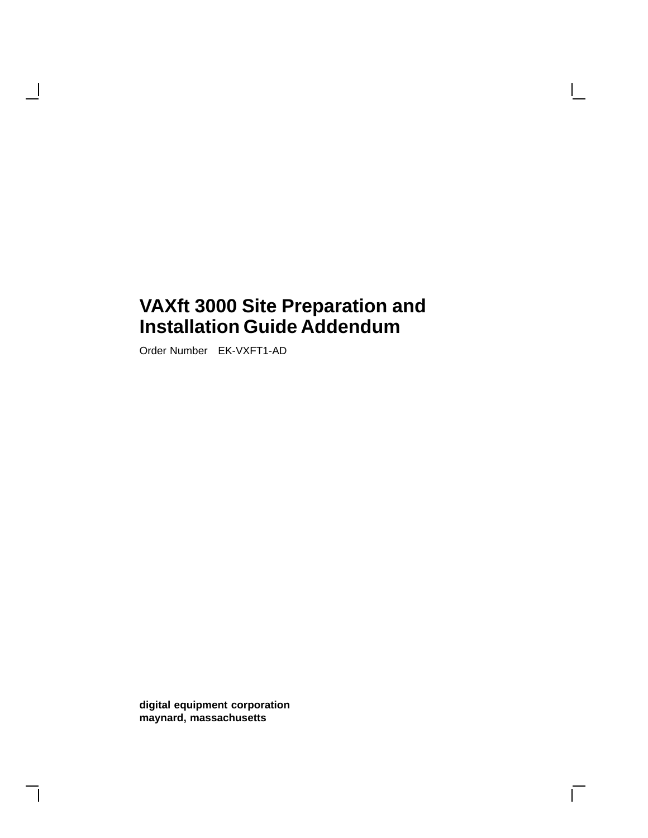Order Number EK-VXFT1-AD

 $\overline{\phantom{a}}$ 

**digital equipment corporation maynard, massachusetts**

 $\Box$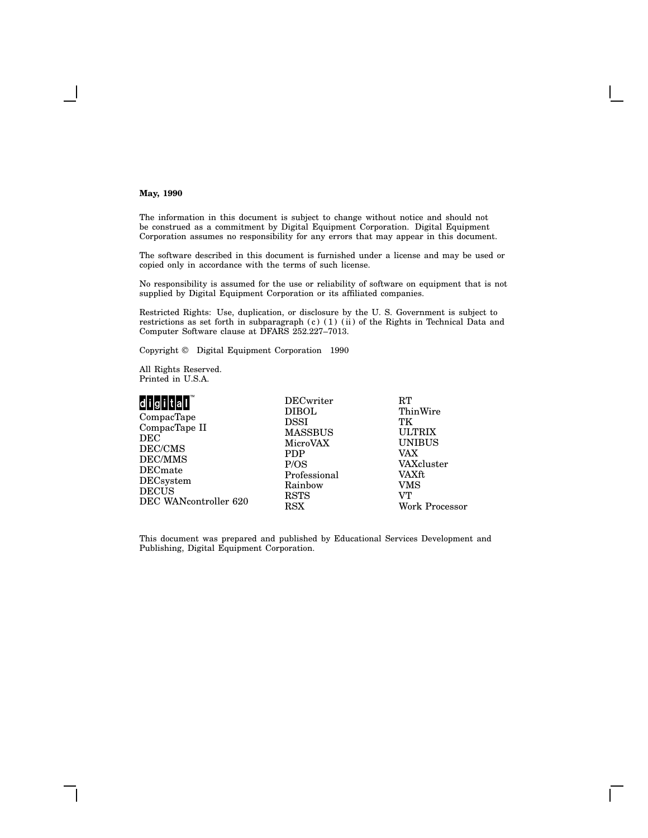#### **May, 1990**

The information in this document is subject to change without notice and should not be construed as a commitment by Digital Equipment Corporation. Digital Equipment Corporation assumes no responsibility for any errors that may appear in this document.

The software described in this document is furnished under a license and may be used or copied only in accordance with the terms of such license.

No responsibility is assumed for the use or reliability of software on equipment that is not supplied by Digital Equipment Corporation or its affiliated companies.

Restricted Rights: Use, duplication, or disclosure by the U. S. Government is subject to restrictions as set forth in subparagraph (c) (1) (ii) of the Rights in Technical Data and Computer Software clause at DFARS 252.227–7013.

Copyright © Digital Equipment Corporation 1990

All Rights Reserved. Printed in U.S.A.

| digital                | <b>DECwriter</b>   | RT                          |
|------------------------|--------------------|-----------------------------|
| CompacTape             | <b>DIBOL</b>       | ThinWire                    |
| CompacTape II          | DSSI               | TК                          |
| $\rm DEC$              | <b>MASSBUS</b>     | <b>ULTRIX</b>               |
| DEC/CMS                | MicroVAX           | <b>UNIBUS</b>               |
| DEC/MMS                | <b>PDP</b>         | VAX                         |
| $\rm{DECmate}$         | P/OS               | VAXcluster                  |
| DECsystem              | Professional       | VAXft                       |
| $\operatorname{DECUS}$ | Rainbow            | VMS                         |
| DEC WANcontroller 620  | <b>RSTS</b><br>RSX | VТ<br><b>Work Processor</b> |

This document was prepared and published by Educational Services Development and Publishing, Digital Equipment Corporation.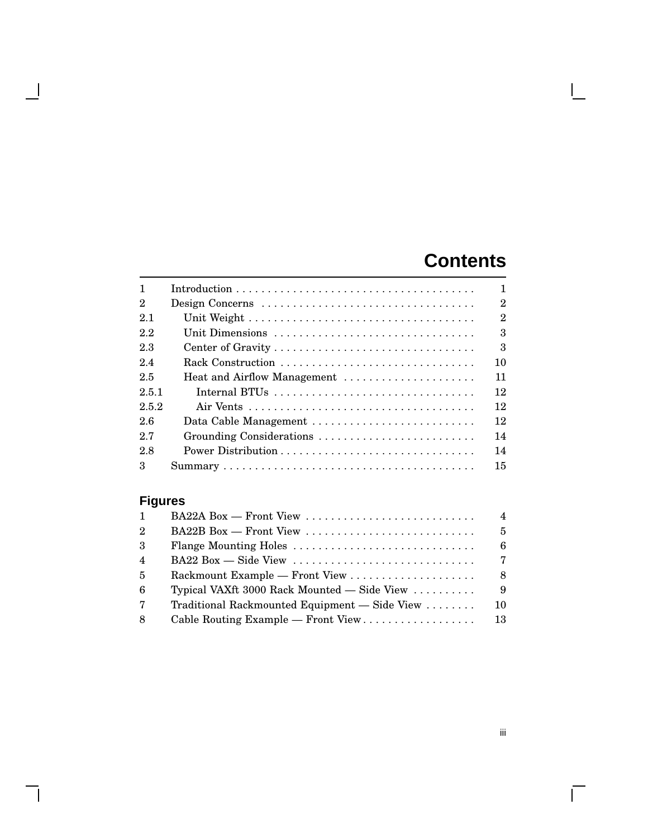# **Contents**

 $\mathbf{I}$ 

| $\mathbf{1}$   |                                                                                    | $\mathbf{1}$   |
|----------------|------------------------------------------------------------------------------------|----------------|
| $\mathbf{2}$   | Design Concerns                                                                    | $\overline{2}$ |
| 2.1            |                                                                                    | $\overline{2}$ |
| 2.2            | Unit Dimensions                                                                    | 3              |
| 2.3            |                                                                                    | 3              |
| 2.4            | Rack Construction                                                                  | 10             |
| 2.5            | Heat and Airflow Management                                                        | 11             |
| 2.5.1          |                                                                                    | 12             |
| 2.5.2          |                                                                                    | 12             |
| 26             | Data Cable Management                                                              | 12             |
| 2.7            | Grounding Considerations                                                           | 14             |
| 2.8            |                                                                                    | 14             |
| 3              |                                                                                    | 15             |
| <b>Figures</b> |                                                                                    |                |
| 1              | BA22A Box - Front View                                                             | $\overline{4}$ |
| $\mathbf{2}$   | BA22B Box — Front View                                                             | $\overline{5}$ |
| 3              | Flange Mounting Holes                                                              | 6              |
| 4              | $BA22 Box - Side View \dots \dots \dots \dots \dots \dots \dots \dots \dots \dots$ | $\overline{7}$ |
| 5              |                                                                                    | 8              |
| 6              | Typical VAXft 3000 Rack Mounted - Side View                                        | 9              |
| 7              | Traditional Rackmounted Equipment - Side View                                      | 10             |
| 8              | Cable Routing Example - Front View                                                 | 13             |
|                |                                                                                    |                |

 $\overline{\phantom{a}}$ 

 $\overline{\phantom{a}}$ 

 $\overline{\Gamma}$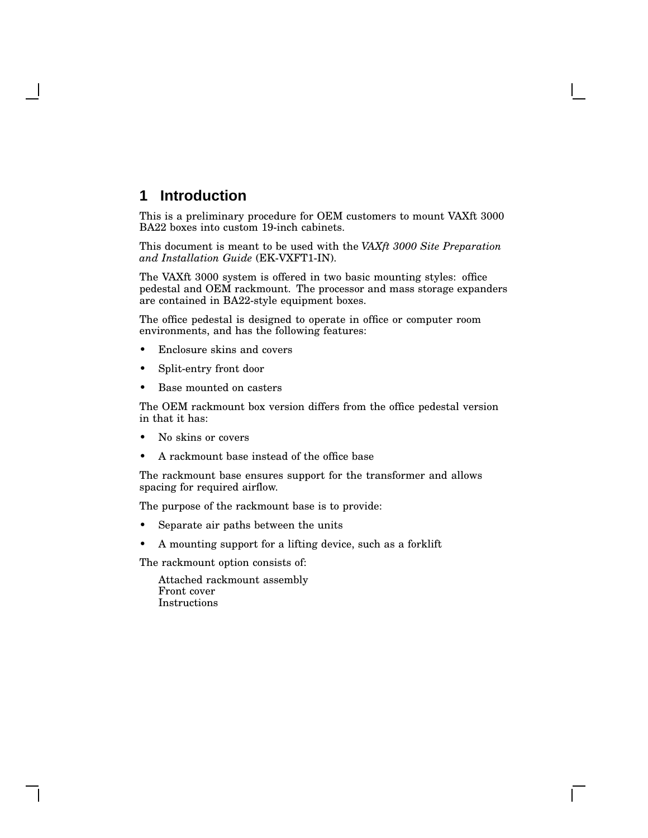## **1 Introduction**

This is a preliminary procedure for OEM customers to mount VAXft 3000 BA22 boxes into custom 19-inch cabinets.

This document is meant to be used with the *VAXft 3000 Site Preparation and Installation Guide* (EK-VXFT1-IN).

The VAXft 3000 system is offered in two basic mounting styles: office pedestal and OEM rackmount. The processor and mass storage expanders are contained in BA22-style equipment boxes.

The office pedestal is designed to operate in office or computer room environments, and has the following features:

- Enclosure skins and covers
- Split-entry front door
- Base mounted on casters

The OEM rackmount box version differs from the office pedestal version in that it has:

- No skins or covers
- A rackmount base instead of the office base

The rackmount base ensures support for the transformer and allows spacing for required airflow.

The purpose of the rackmount base is to provide:

- Separate air paths between the units
- A mounting support for a lifting device, such as a forklift

The rackmount option consists of:

Attached rackmount assembly Front cover Instructions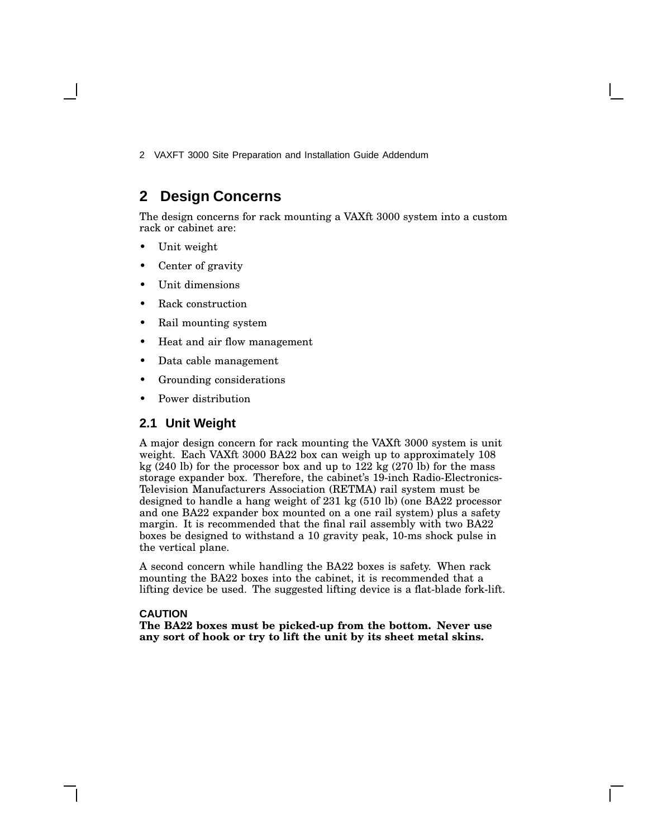## **2 Design Concerns**

The design concerns for rack mounting a VAXft 3000 system into a custom rack or cabinet are:

- Unit weight
- Center of gravity
- Unit dimensions
- Rack construction
- Rail mounting system
- Heat and air flow management
- Data cable management
- Grounding considerations
- Power distribution

#### **2.1 Unit Weight**

A major design concern for rack mounting the VAXft 3000 system is unit weight. Each VAXft 3000 BA22 box can weigh up to approximately 108 kg (240 lb) for the processor box and up to 122 kg (270 lb) for the mass storage expander box. Therefore, the cabinet's 19-inch Radio-Electronics-Television Manufacturers Association (RETMA) rail system must be designed to handle a hang weight of 231 kg (510 lb) (one BA22 processor and one BA22 expander box mounted on a one rail system) plus a safety margin. It is recommended that the final rail assembly with two BA22 boxes be designed to withstand a 10 gravity peak, 10-ms shock pulse in the vertical plane.

A second concern while handling the BA22 boxes is safety. When rack mounting the BA22 boxes into the cabinet, it is recommended that a lifting device be used. The suggested lifting device is a flat-blade fork-lift.

#### **CAUTION**

**The BA22 boxes must be picked-up from the bottom. Never use any sort of hook or try to lift the unit by its sheet metal skins.**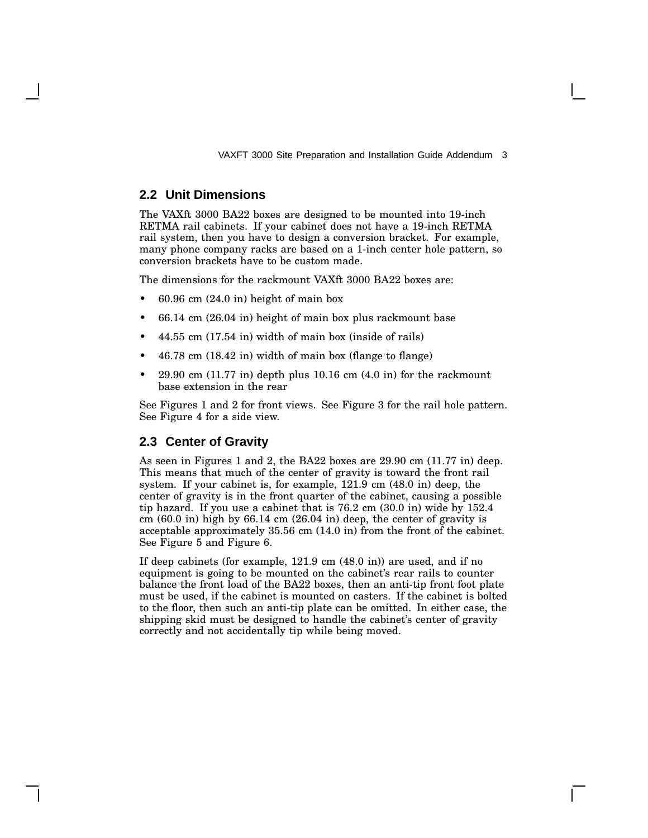#### **2.2 Unit Dimensions**

The VAXft 3000 BA22 boxes are designed to be mounted into 19-inch RETMA rail cabinets. If your cabinet does not have a 19-inch RETMA rail system, then you have to design a conversion bracket. For example, many phone company racks are based on a 1-inch center hole pattern, so conversion brackets have to be custom made.

The dimensions for the rackmount VAXft 3000 BA22 boxes are:

- 60.96 cm (24.0 in) height of main box
- 66.14 cm (26.04 in) height of main box plus rackmount base
- 44.55 cm (17.54 in) width of main box (inside of rails)
- 46.78 cm (18.42 in) width of main box (flange to flange)
- $29.90 \text{ cm } (11.77 \text{ in})$  depth plus  $10.16 \text{ cm } (4.0 \text{ in})$  for the rackmount base extension in the rear

See Figures 1 and 2 for front views. See Figure 3 for the rail hole pattern. See Figure 4 for a side view.

#### **2.3 Center of Gravity**

As seen in Figures 1 and 2, the BA22 boxes are 29.90 cm (11.77 in) deep. This means that much of the center of gravity is toward the front rail system. If your cabinet is, for example, 121.9 cm (48.0 in) deep, the center of gravity is in the front quarter of the cabinet, causing a possible tip hazard. If you use a cabinet that is 76.2 cm (30.0 in) wide by 152.4 cm  $(60.0 \text{ in})$  high by  $66.14 \text{ cm}$   $(26.04 \text{ in})$  deep, the center of gravity is acceptable approximately 35.56 cm (14.0 in) from the front of the cabinet. See Figure 5 and Figure 6.

If deep cabinets (for example, 121.9 cm (48.0 in)) are used, and if no equipment is going to be mounted on the cabinet's rear rails to counter balance the front load of the BA22 boxes, then an anti-tip front foot plate must be used, if the cabinet is mounted on casters. If the cabinet is bolted to the floor, then such an anti-tip plate can be omitted. In either case, the shipping skid must be designed to handle the cabinet's center of gravity correctly and not accidentally tip while being moved.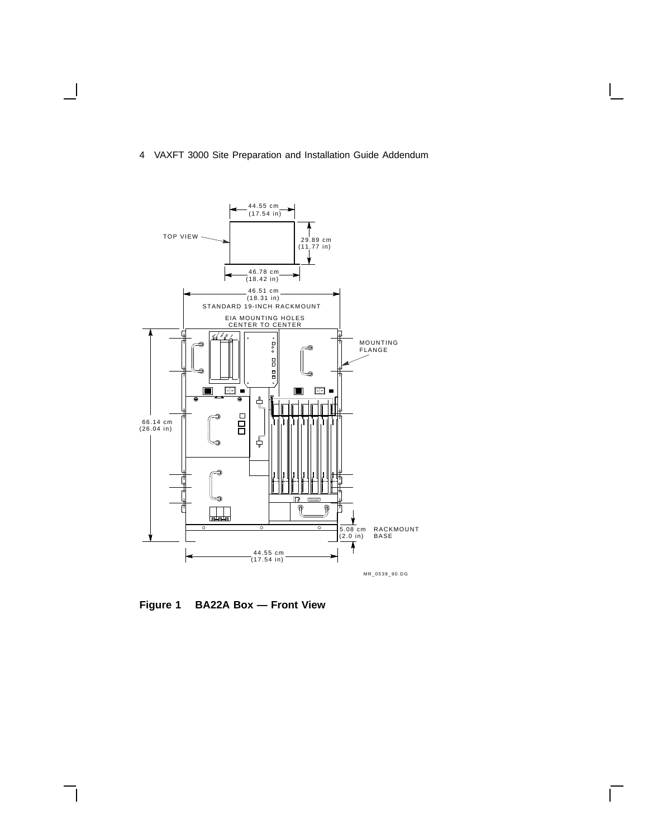

**Figure 1 BA22A Box — Front View**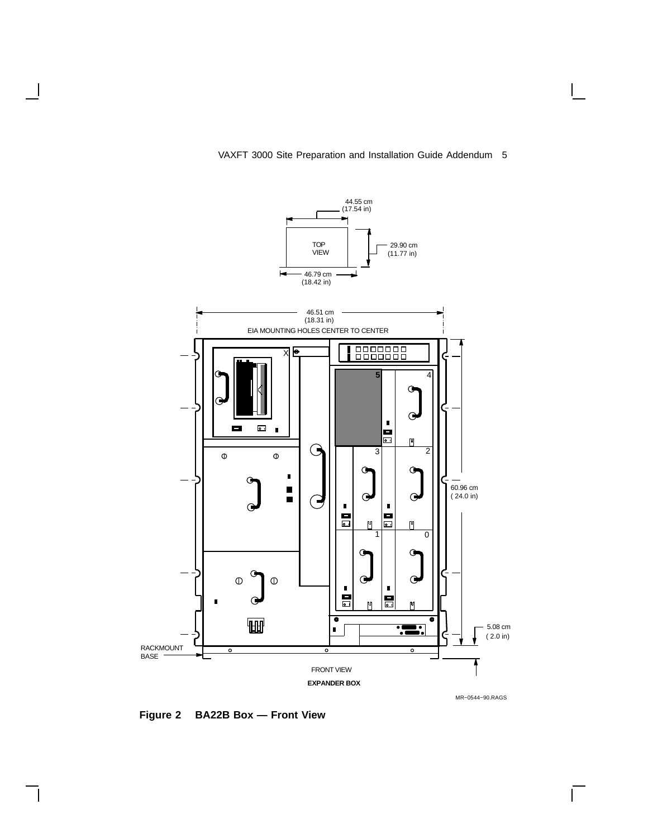

 $\overline{\Gamma}$ 

#### VAXFT 3000 Site Preparation and Installation Guide Addendum 5

**Figure 2 BA22B Box — Front View**

 $\overline{\phantom{a}}$ 

 $\mathbf l$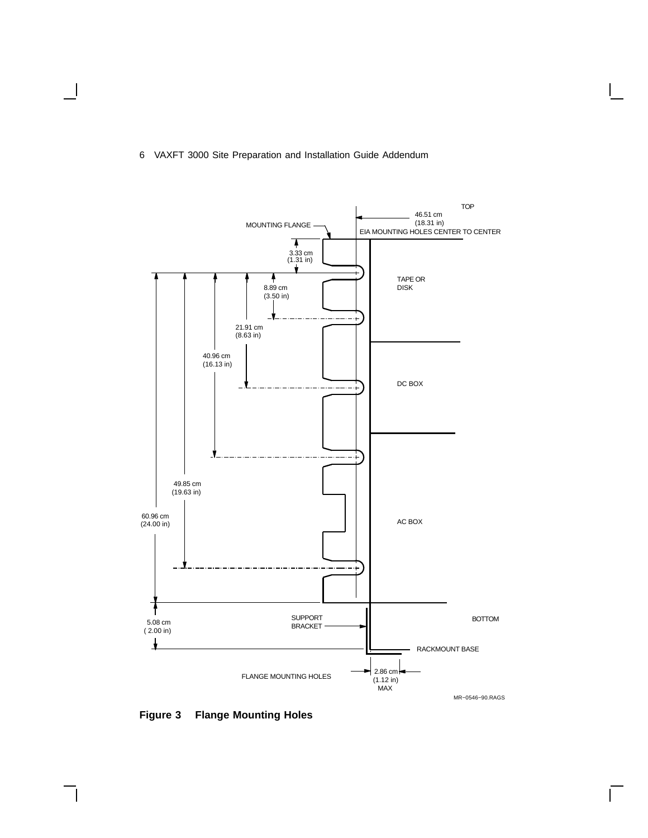

**Figure 3 Flange Mounting Holes**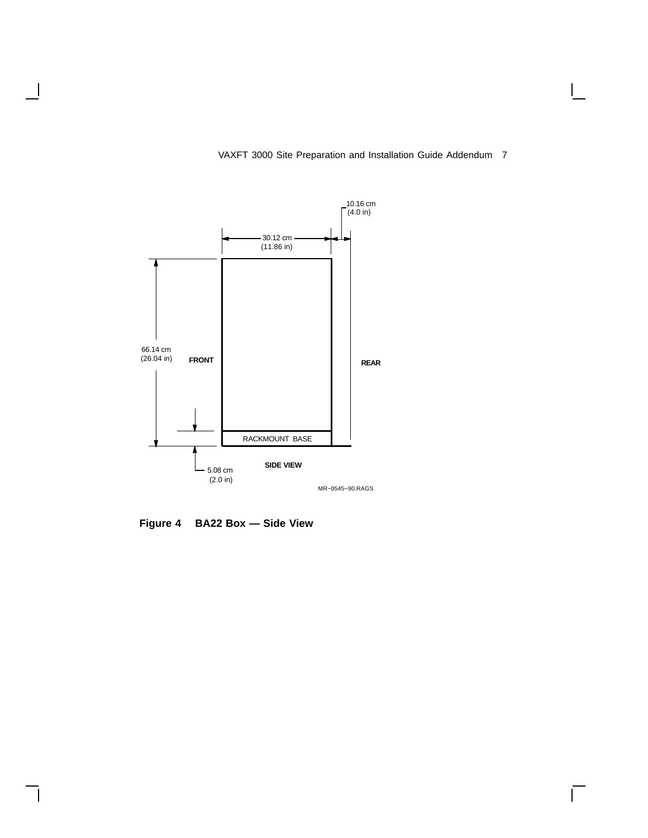

 $\mathsf{L}$ 

**Figure 4 BA22 Box — Side View**

 $\mathsf{l}$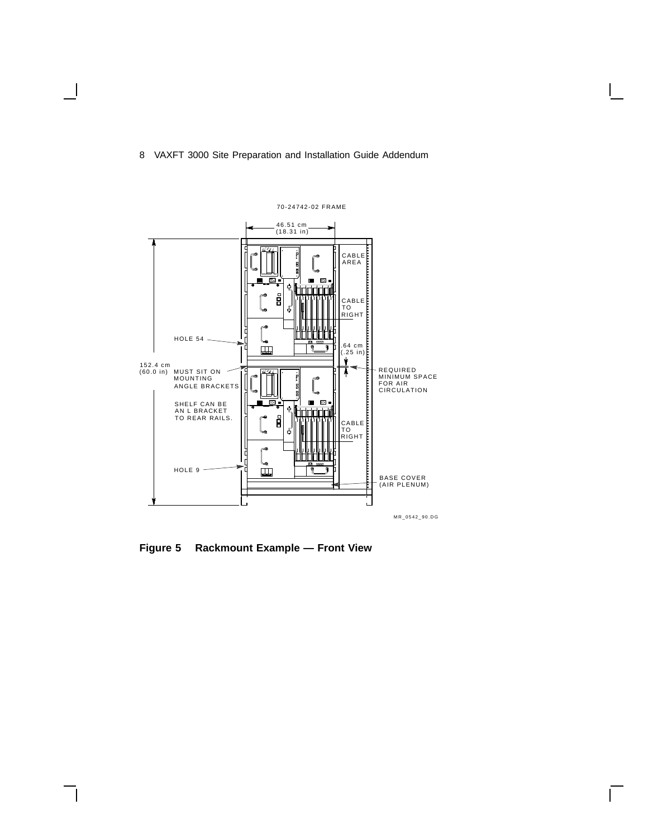

**Figure 5 Rackmount Example — Front View**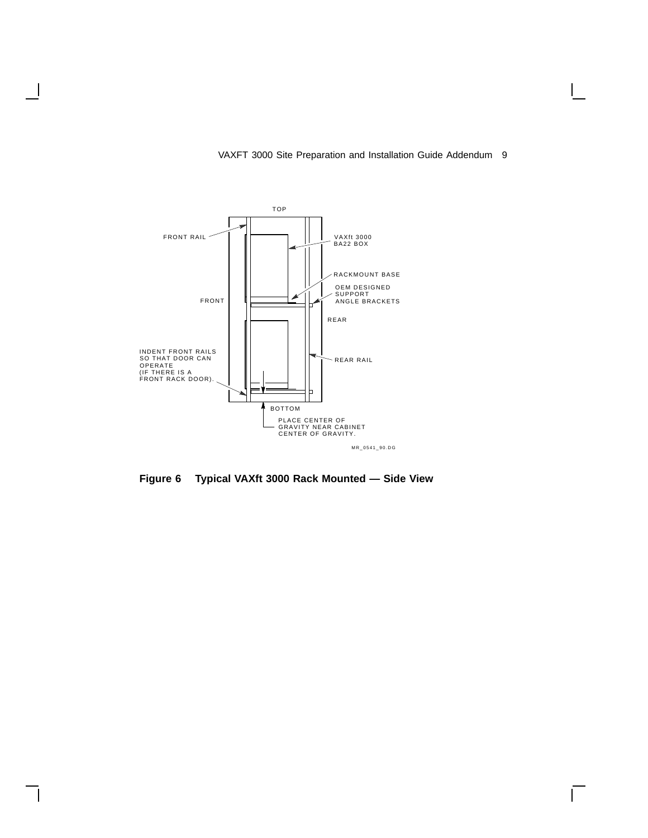

 $\overline{\phantom{a}}$ 

#### VAXFT 3000 Site Preparation and Installation Guide Addendum 9

 $\overline{\Gamma}$ 

**Figure 6 Typical VAXft 3000 Rack Mounted — Side View**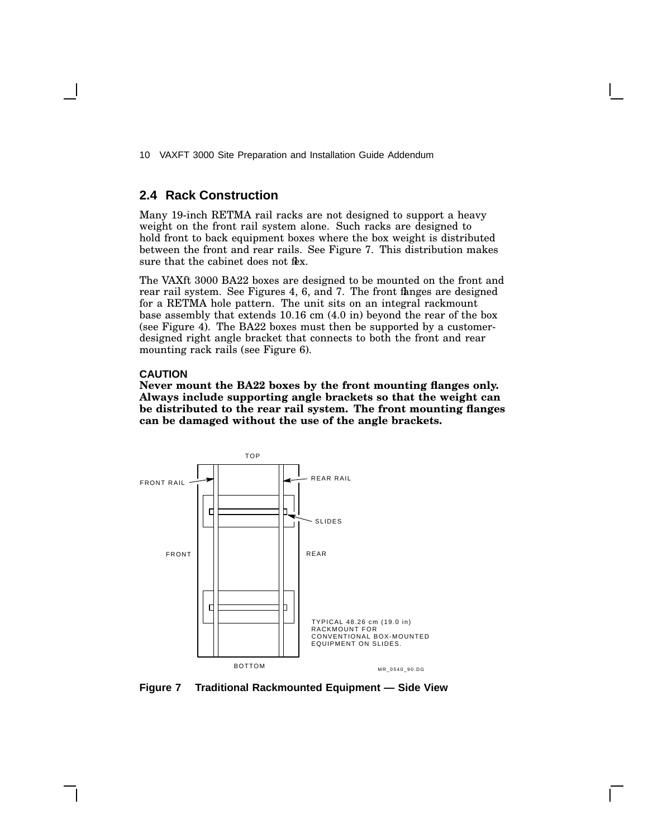#### **2.4 Rack Construction**

Many 19-inch RETMA rail racks are not designed to support a heavy weight on the front rail system alone. Such racks are designed to hold front to back equipment boxes where the box weight is distributed between the front and rear rails. See Figure 7. This distribution makes sure that the cabinet does not flex.

The VAXft 3000 BA22 boxes are designed to be mounted on the front and rear rail system. See Figures 4, 6, and 7. The front fanges are designed for a RETMA hole pattern. The unit sits on an integral rackmount base assembly that extends 10.16 cm (4.0 in) beyond the rear of the box (see Figure 4). The BA22 boxes must then be supported by a customerdesigned right angle bracket that connects to both the front and rear mounting rack rails (see Figure 6).

#### **CAUTION**

**Never mount the BA22 boxes by the front mounting flanges only. Always include supporting angle brackets so that the weight can be distributed to the rear rail system. The front mounting flanges can be damaged without the use of the angle brackets.**



**Figure 7 Traditional Rackmounted Equipment — Side View**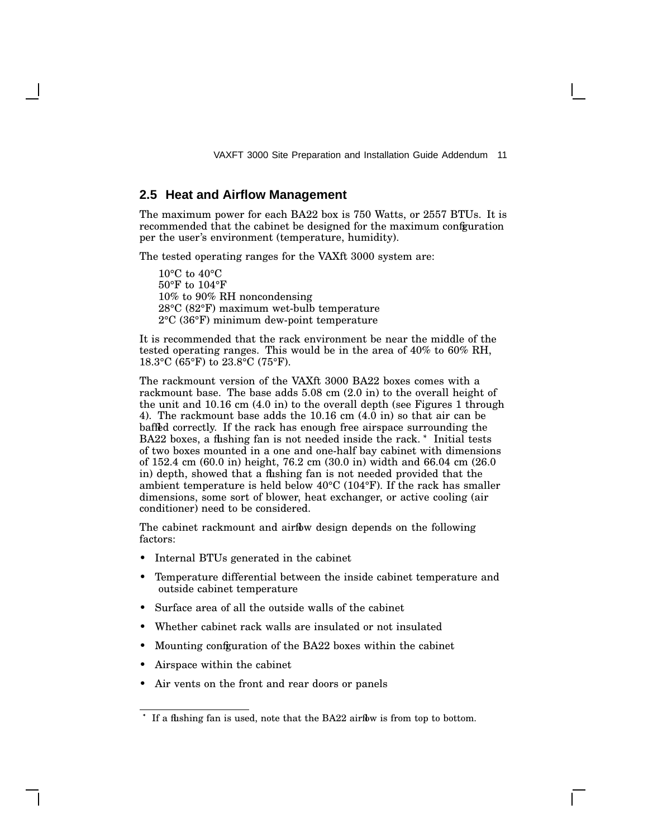#### **2.5 Heat and Airflow Management**

The maximum power for each BA22 box is 750 Watts, or 2557 BTUs. It is recommended that the cabinet be designed for the maximum configuration per the user's environment (temperature, humidity).

The tested operating ranges for the VAXft 3000 system are:

10°C to 40°C 50°F to 104°F 10% to 90% RH noncondensing 28°C (82°F) maximum wet-bulb temperature 2°C (36°F) minimum dew-point temperature

It is recommended that the rack environment be near the middle of the tested operating ranges. This would be in the area of 40% to 60% RH, 18.3°C (65°F) to 23.8°C (75°F).

The rackmount version of the VAXft 3000 BA22 boxes comes with a rackmount base. The base adds 5.08 cm (2.0 in) to the overall height of the unit and 10.16 cm (4.0 in) to the overall depth (see Figures 1 through 4). The rackmount base adds the 10.16 cm (4.0 in) so that air can be baffled correctly. If the rack has enough free airspace surrounding the BA22 boxes, a flushing fan is not needed inside the rack. \* Initial tests of two boxes mounted in a one and one-half bay cabinet with dimensions of 152.4 cm (60.0 in) height, 76.2 cm (30.0 in) width and 66.04 cm (26.0 in) depth, showed that a flushing fan is not needed provided that the ambient temperature is held below 40°C (104°F). If the rack has smaller dimensions, some sort of blower, heat exchanger, or active cooling (air conditioner) need to be considered.

The cabinet rackmount and airflow design depends on the following factors:

- Internal BTUs generated in the cabinet
- Temperature differential between the inside cabinet temperature and outside cabinet temperature
- Surface area of all the outside walls of the cabinet
- Whether cabinet rack walls are insulated or not insulated
- Mounting configuration of the BA22 boxes within the cabinet
- Airspace within the cabinet
- Air vents on the front and rear doors or panels

If a flushing fan is used, note that the BA22 airflow is from top to bottom.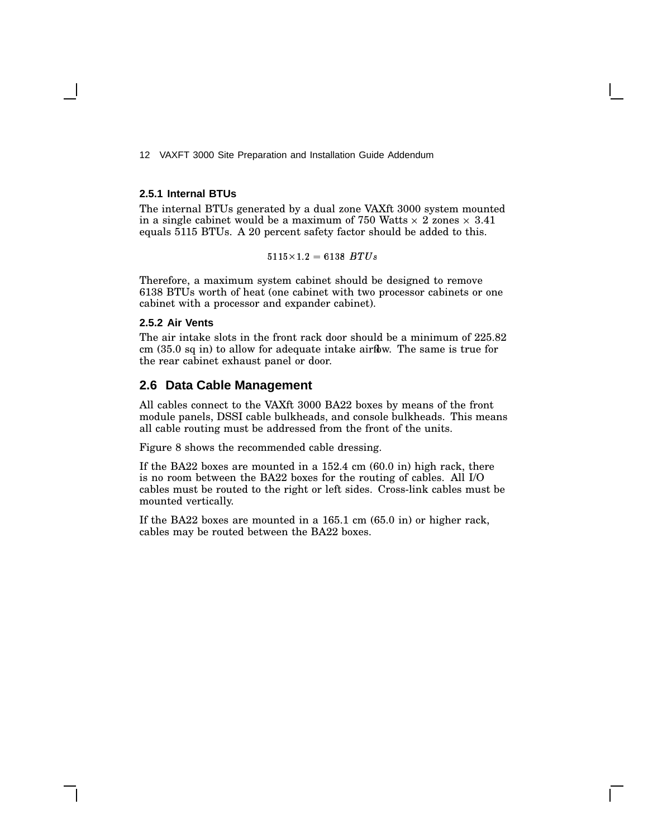#### **2.5.1 Internal BTUs**

The internal BTUs generated by a dual zone VAXft 3000 system mounted in a single cabinet would be a maximum of 750 Watts  $\times$  2 zones  $\times$  3.41 equals 5115 BTUs. A 20 percent safety factor should be added to this.

-- - -

Therefore, a maximum system cabinet should be designed to remove 6138 BTUs worth of heat (one cabinet with two processor cabinets or one cabinet with a processor and expander cabinet).

#### **2.5.2 Air Vents**

The air intake slots in the front rack door should be a minimum of 225.82 cm (35.0 sq in) to allow for adequate intake airflow. The same is true for the rear cabinet exhaust panel or door.

#### **2.6 Data Cable Management**

All cables connect to the VAXft 3000 BA22 boxes by means of the front module panels, DSSI cable bulkheads, and console bulkheads. This means all cable routing must be addressed from the front of the units.

Figure 8 shows the recommended cable dressing.

If the BA22 boxes are mounted in a 152.4 cm (60.0 in) high rack, there is no room between the BA22 boxes for the routing of cables. All I/O cables must be routed to the right or left sides. Cross-link cables must be mounted vertically.

If the BA22 boxes are mounted in a 165.1 cm (65.0 in) or higher rack, cables may be routed between the BA22 boxes.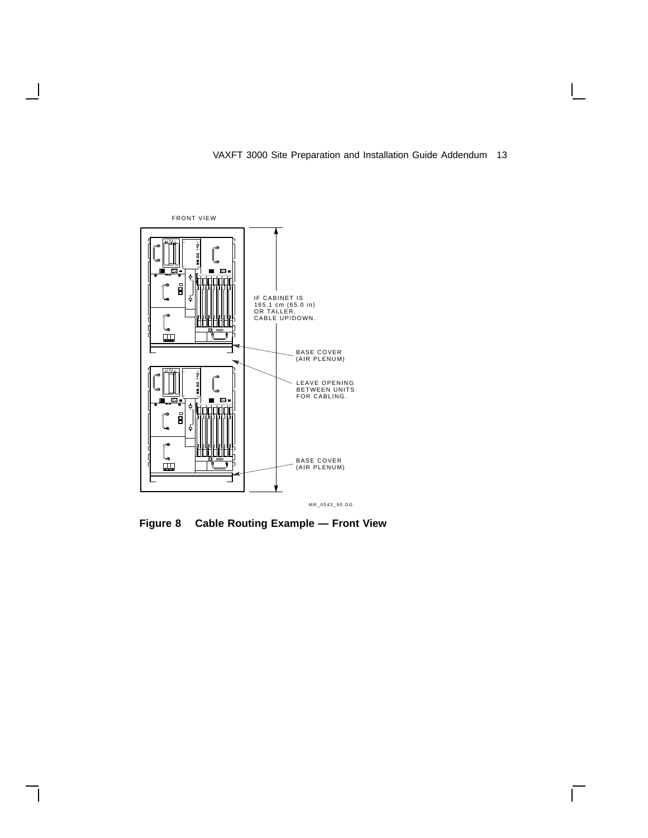$\overline{\Gamma}$ 



 $\overline{\phantom{a}}$ 

 $\mathsf{l}$ 

**Figure 8 Cable Routing Example — Front View**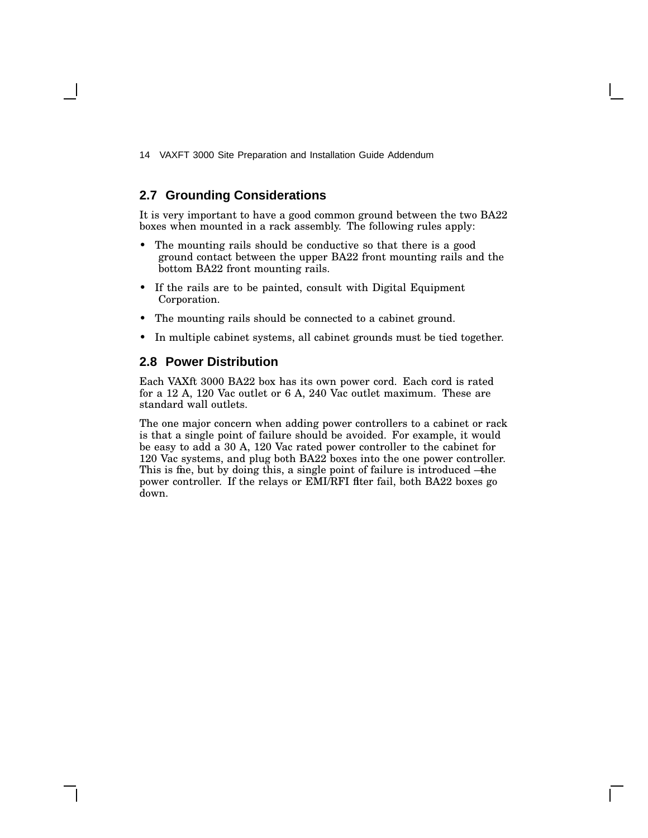### **2.7 Grounding Considerations**

It is very important to have a good common ground between the two BA22 boxes when mounted in a rack assembly. The following rules apply:

- The mounting rails should be conductive so that there is a good ground contact between the upper BA22 front mounting rails and the bottom BA22 front mounting rails.
- If the rails are to be painted, consult with Digital Equipment Corporation.
- The mounting rails should be connected to a cabinet ground.
- In multiple cabinet systems, all cabinet grounds must be tied together.

## **2.8 Power Distribution**

Each VAXft 3000 BA22 box has its own power cord. Each cord is rated for a 12 A, 120 Vac outlet or 6 A, 240 Vac outlet maximum. These are standard wall outlets.

The one major concern when adding power controllers to a cabinet or rack is that a single point of failure should be avoided. For example, it would be easy to add a 30 A, 120 Vac rated power controller to the cabinet for 120 Vac systems, and plug both BA22 boxes into the one power controller. This is fine, but by doing this, a single point of failure is introduced -the power controller. If the relays or EMI/RFI fiter fail, both BA22 boxes go down.